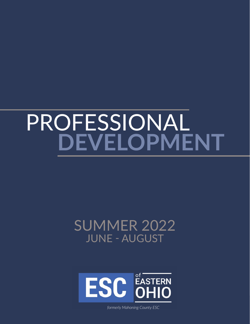# PROFESSIONAL **DEVELOPMENT**

# SUMMER 2022 JUNE - AUGUST



esceasternohio.org | 330.533.8755 *formerly Mahoning County ESC*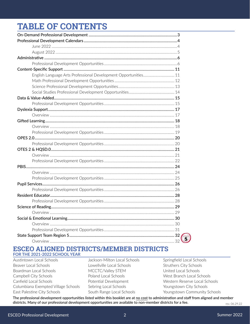# **TABLE OF CONTENTS**

| $\widetilde{\mathbf{5}}$ |
|--------------------------|
|                          |

### **ESCEO ALIGNED DISTRICTS/MEMBER DISTRICTS FOR THE 2021-2022 SCHOOL YEAR**

Austintown Local Schools Beaver Local Schools Boardman Local Schools Campbell City Schools Canfield Local Schools Columbiana Exempted Village Schools East Palestine City Schools

Jackson-Milton Local Schools Lowellville Local Schools MCCTC/Valley STEM Poland Local Schools Potential Development Sebring Local Schools South Range Local Schools

Springfield Local Schools Struthers City Schools United Local Schools West Branch Local Schools Western Reserve Local Schools Youngstown City Schools Youngstown Community Schools

The professional development opportunities listed within this booklet are at no cost to administration and staff from aligned and member districts. Many of our professional development opportunities are available to non-member districts for a fee.

rev. 06.29.22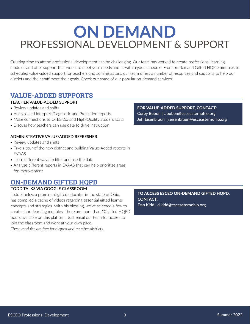# <span id="page-2-0"></span>**ON DEMAND** PROFESSIONAL DEVELOPMENT & SUPPORT

Creating time to attend professional development can be challenging. Our team has worked to create professional learning modules and offer support that works to meet your needs and fit within your schedule. From on-demand Gifted HQPD modules to scheduled value-added support for teachers and administrators, our team offers a number of resources and supports to help our districts and their staff meet their goals. Check out some of our popular on-demand services!

## **VALUE-ADDED SUPPORTS**

### **TEACHER VALUE-ADDED SUPPORT**

- Review updates and shifts
- Analyze and interpret Diagnostic and Projection reports
- Make connections to OTES 2.0 and High-Quality Student Data
- Discuss how teachers can use data to drive instruction

#### **ADMINISTRATIVE VALUE-ADDED REFRESHER**

- Review updates and shifts
- Take a tour of the new district and building Value-Added reports in EVAAS
- Learn different ways to filter and use the data
- Analyze different reports in EVAAS that can help prioritize areas for improvement

# **ON-DEMAND GIFTED HQPD**

### **TODD TALKS VIA GOOGLE CLASSROOM**

Todd Stanley, a prominent gifted educator in the state of Ohio, has compiled a cache of videos regarding essential gifted learner concepts and strategies. With his blessing, we've selected a few to create short learning modules. There are more than 10 gifted HQPD hours available on this platform. Just email our team for access to join the classroom and work at your own pace.

*These modules are free for aligned and member districts.*

FOR VALUE-ADDED SUPPORT, CONTACT: Corey Bubon | c.bubon@esceasternohio.org Jeff Eisenbraun | j.eisenbraun@esceasternohio.org

TO ACCESS ESCEO ON-DEMAND GIFTED HQPD, CONTACT: Dan Kidd | d.kidd@esceasternohio.org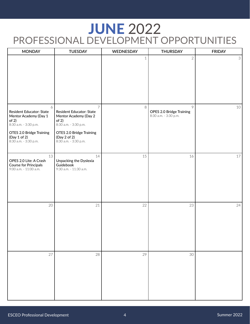# <span id="page-3-0"></span>**JUNE 2022** [PROFESSIONAL DEVELOPMENT OPPORTUNITIES](https://www.esceasternohio.org/calmonthview.aspx?schoolid=0&t=&schoollistids=#m=5&s=0&t=1:53:2:57:58&y=2022)

| <b>MONDAY</b>                                                                                                                                                 | <b>TUESDAY</b>                                                                                                                                                             | WEDNESDAY   | <b>THURSDAY</b>                                        | <b>FRIDAY</b>  |
|---------------------------------------------------------------------------------------------------------------------------------------------------------------|----------------------------------------------------------------------------------------------------------------------------------------------------------------------------|-------------|--------------------------------------------------------|----------------|
|                                                                                                                                                               |                                                                                                                                                                            | $\mathbf 1$ | $\overline{2}$                                         | 3 <sup>1</sup> |
| 6<br>Resident Educator: State<br>Mentor Academy (Day 1<br>of 2)<br>8:30 a.m. - 3:30 p.m.<br>OTES 2.0 Bridge Training<br>(Day 1 of 2)<br>8:30 a.m. - 3:30 p.m. | $\overline{7}$<br>Resident Educator: State<br>Mentor Academy (Day 2<br>of 2)<br>8:30 a.m. - 3:30 p.m.<br>OTES 2.0 Bridge Training<br>(Day 2 of 2)<br>8:30 a.m. - 3:30 p.m. | 8           | 9<br>OPES 2.0 Bridge Training<br>8:30 a.m. - 3:30 p.m. | 10             |
| 13<br>OPES 2.0 Lite: A Crash<br><b>Course for Principals</b><br>9:00 a.m. - 11:00 a.m.                                                                        | 14<br>Unpacking the Dyslexia<br>Guidebook<br>9:30 a.m. - 11:30 a.m.                                                                                                        | 15          | 16                                                     | 17             |
| 20                                                                                                                                                            | 21                                                                                                                                                                         | 22          | 23                                                     | 24             |
| 27                                                                                                                                                            | 28                                                                                                                                                                         | 29          | 30                                                     |                |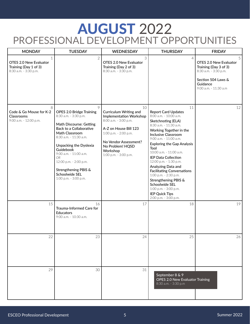# <span id="page-4-0"></span>AUGUST 2022 [PROFESSIONAL DEVELOPMENT OPPORTUNITIES](https://www.esceasternohio.org/calmonthview.aspx?schoolid=0&t=&schoollistids=#m=7&s=0&t=1:53:2:57:58&y=2022)

| <b>MONDAY</b>                                                                            | <b>TUESDAY</b>                                                                                                                                                                                                                                                                                                                       | <b>WEDNESDAY</b>                                                                                                                                                                                                            | <b>THURSDAY</b>                                                                                                                                                                                                                                                                                                                                                                                                                                                                                                                        | <b>FRIDAY</b>                                                                                                                            |
|------------------------------------------------------------------------------------------|--------------------------------------------------------------------------------------------------------------------------------------------------------------------------------------------------------------------------------------------------------------------------------------------------------------------------------------|-----------------------------------------------------------------------------------------------------------------------------------------------------------------------------------------------------------------------------|----------------------------------------------------------------------------------------------------------------------------------------------------------------------------------------------------------------------------------------------------------------------------------------------------------------------------------------------------------------------------------------------------------------------------------------------------------------------------------------------------------------------------------------|------------------------------------------------------------------------------------------------------------------------------------------|
| $\mathbf{1}$<br>OTES 2.0 New Evaluator<br>Training (Day 1 of 3)<br>8:30 a.m. - 3:30 p.m. | $\overline{2}$                                                                                                                                                                                                                                                                                                                       | 3<br><b>OTES 2.0 New Evaluator</b><br>Training (Day 2 of 3)<br>8:30 a.m. - 3:30 p.m.                                                                                                                                        | $\overline{A}$                                                                                                                                                                                                                                                                                                                                                                                                                                                                                                                         | 5<br>OTES 2.0 New Evaluator<br>Training (Day 3 of 3)<br>8:30 a.m. - 3:30 p.m.<br>Section 504 Laws &<br>Guidance<br>9:00 a.m. - 11:30 a.m |
| 8<br>Code & Go Mouse for K-2<br><b>Classrooms</b><br>9:00 a.m. - 12:00 p.m.              | 9<br><b>OPES 2.0 Bridge Training</b><br>8:30 a.m. - 3:30 p.m.<br>Math Discourse: Getting<br>Back to a Collaborative<br>Math Classroom<br>8:30 a.m. - 11:30 a.m.<br>Unpacking the Dyslexia<br>Guidebook<br>9:00 a.m. - 11:00 a.m.<br>OR.<br>12:00 p.m. - 2:00 p.m.<br>Strengthening PBIS &<br>Schoolwide SEL<br>1:00 p.m. - 3:00 p.m. | 10<br>Curriculum Writing and<br><b>Implementation Workshop</b><br>8:00 a.m. - 3:00 p.m.<br>A-Z on House Bill 123<br>1:00 p.m. - 2:00 p.m.<br>No Vendor Assessment?<br>No Problem! HQSD<br>Workshop<br>1:00 p.m. - 3:00 p.m. | 11<br><b>Report Card Updates</b><br>8:00 a.m. - 10:00 a.m.<br>Sketchnoting (ELA)<br>8:30 a.m. - 11:30 a.m.<br>Working Together in the<br><b>Inclusive Classroom</b><br>9:00 a.m. - 11:00 a.m.<br><b>Exploring the Gap Analysis</b><br>Tool<br>10:00 a.m. - 11:00 a.m.<br><b>IEP Data Collection</b><br>12:00 p.m. - 1:30 p.m.<br>Analyzing Data and<br><b>Facilitating Conversations</b><br>1:00 p.m. - 2:30 p.m.<br>Strengthening PBIS &<br>Schoolwide SEL<br>1:00 p.m. - 3:00 p.m.<br><b>IEP Quick Tips</b><br>2:00 p.m. - 3:00 p.m. | 12                                                                                                                                       |
| 15                                                                                       | 16<br>Trauma-Informed Care for<br><b>Educators</b><br>9:00 a.m. - 10:30 a.m.                                                                                                                                                                                                                                                         | 17                                                                                                                                                                                                                          | 18                                                                                                                                                                                                                                                                                                                                                                                                                                                                                                                                     | 19                                                                                                                                       |
| 22                                                                                       | 23                                                                                                                                                                                                                                                                                                                                   | 24                                                                                                                                                                                                                          | 25                                                                                                                                                                                                                                                                                                                                                                                                                                                                                                                                     | 26                                                                                                                                       |
| 29                                                                                       | 30                                                                                                                                                                                                                                                                                                                                   | 31                                                                                                                                                                                                                          | September 8 & 9<br><b>OPES 2.0 New Evaluator Training</b><br>8:30 a.m. - 3:30 p.m                                                                                                                                                                                                                                                                                                                                                                                                                                                      |                                                                                                                                          |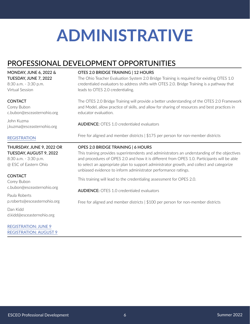# <span id="page-5-0"></span>PROFESSIONAL DEVELOPMENT OPPORTUNITIES

MONDAY, JUNE 6, 2022 & TUESDAY, JUNE 7, 2022 8:30 a.m. - 3:30 p.m. Virtual Session

#### **CONTACT**

Corey Bubon c.bubon@esceasternohio.org

John Kuzma j.kuzma@esceasternohio.org

### **[REGISTRATION](https://www.esceasternohio.org/CalendarWeekView.aspx?eventID=383)**

THURSDAY, JUNE 9, 2022 OR TUESDAY, AUGUST 9, 2022 8:30 a.m. - 3:30 p.m. @ ESC of Eastern Ohio

### **CONTACT**

Corey Bubon c.bubon@esceasternohio.org

Paula Roberts p.roberts@esceasternohio.org

Dan Kidd d.kidd@esceasternohio.org

[REGISTRATION: JUNE 9](https://www.esceasternohio.org/CalendarWeekView.aspx?eventID=294) [REGISTRATION: AUGUST 9](https://www.esceasternohio.org/CalendarWeekView.aspx?eventID=295)

#### OTES 2.0 BRIDGE TRAINING | 12 HOURS

The Ohio Teacher Evaluation System 2.0 Bridge Training is required for existing OTES 1.0 credentialed evaluators to address shifts with OTES 2.0. Bridge Training is a pathway that leads to OTES 2.0 credentialing.

The OTES 2.0 Bridge Training will provide a better understanding of the OTES 2.0 Framework and Model, allow practice of skills, and allow for sharing of resources and best practices in educator evaluation.

AUDIENCE: OTES 1.0 credentialed evaluators

Free for aligned and member districts | \$175 per person for non-member districts

#### OPES 2.0 BRIDGE TRAINING | 6 HOURS

This training provides superintendents and administrators an understanding of the objectives and procedures of OPES 2.0 and how it is different from OPES 1.0. Participants will be able to select an appropriate plan to support administrator growth, and collect and categorize unbiased evidence to inform administrator performance ratings.

This training will lead to the credentialing assessment for OPES 2.0.

AUDIENCE: OTES 1.0 credentialed evaluators

Free for aligned and member districts | \$100 per person for non-member districts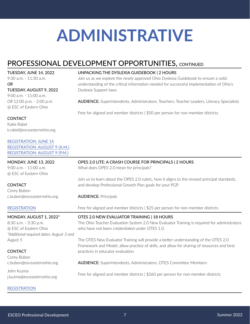UNPACKING THE DYSLEXIA GUIDEBOOK | 2 HOURS

# PROFESSIONAL DEVELOPMENT OPPORTUNITIES, CONTINUED

TUESDAY, JUNE 14, 2022

9:30 a.m. - 11:30 a.m. *OR*

### TUESDAY, AUGUST 9, 2022

9:00 a.m. - 11:00 a.m. *OR* 12:00 p.m. - 2:00 p.m. @ ESC of Eastern Ohio

### **CONTACT**

Katie Rabel k.rabel@esceasternohio.org

#### [REGISTRATION: JUNE 14](https://www.esceasternohio.org/CalendarWeekView.aspx?eventID=446) [REGISTRATION: AUGUST 9 \(A.M.\)](https://www.esceasternohio.org/CalendarWeekView.aspx?eventID=447) [REGISTRATION: AUGUST 9 \(P.M.\)](https://www.esceasternohio.org/CalendarWeekView.aspx?eventID=448)

### understanding of the critical information needed for successful implementation of Ohio's Dyslexia Support laws.

AUDIENCE: Superintendents, Administrators, Teachers, Teacher Leaders, Literacy Specialists

Free for aligned and member districts | \$50 per person for non-member districts

Join us as we explore the newly approved Ohio Dyslexia Guidebook to ensure a solid

| <b>MONDAY, JUNE 13, 2022</b>             | OPES 2.0 LITE: A CRASH COURSE FOR PRINCIPALS   2 HOURS                                                                                                                            |
|------------------------------------------|-----------------------------------------------------------------------------------------------------------------------------------------------------------------------------------|
| 9:00 a.m. - 11:00 a.m.                   | What does OPES 2.0 mean for principals?                                                                                                                                           |
| @ ESC of Eastern Ohio                    |                                                                                                                                                                                   |
|                                          | Join us to learn about the OPES 2.0 rubric, how it aligns to the revised principal standards,                                                                                     |
| <b>CONTACT</b>                           | and develop Professional Growth Plan goals for your PGP.                                                                                                                          |
| Corey Bubon                              |                                                                                                                                                                                   |
| c.bubon@esceasternohio.org               | <b>AUDIENCE: Principals</b>                                                                                                                                                       |
| <b>REGISTRATION</b>                      | Free for aligned and member districts $\frac{1525}{25}$ per person for non-member districts                                                                                       |
| MONDAY, AUGUST 1, 2022*                  | OTES 2.0 NEW EVALUATOR TRAINING   18 HOURS                                                                                                                                        |
| 8:30 a.m. - 3:30 p.m.                    | The Ohio Teacher Evaluation System 2.0 New Evaluator Training is required for administrators                                                                                      |
| @ ESC of Eastern Ohio                    | who have not been credentialed under OTES 1.0.                                                                                                                                    |
| *Additional required dates: August 3 and |                                                                                                                                                                                   |
| August 5                                 | The OTES New Evaluator Training will provide a better understanding of the OTES 2.0<br>Framework and Model, allow practice of skills, and allow for sharing of resources and best |
| <b>CONTACT</b>                           | practices in educator evaluation.                                                                                                                                                 |
| Corey Bubon                              |                                                                                                                                                                                   |
| c.bubon@esceasternohio.org               | <b>AUDIENCE:</b> Superintendents, Administrators, OTES Committee Members                                                                                                          |
| John Kuzma<br>j.kuzma@esceasternohio.org | Free for aligned and member districts $\frac{1}{260}$ per person for non-member districts                                                                                         |
| <b>REGISTRATION</b>                      |                                                                                                                                                                                   |

#### ESCEO Professional Development **7** Summer 2022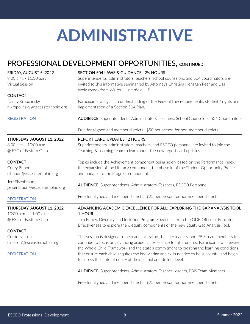# PROFESSIONAL DEVELOPMENT OPPORTUNITIES, CONTINUED

| FRIDAY, AUGUST 5, 2022<br>9:00 a.m. - 11:30 a.m.<br>Virtual Session | SECTION 504 LAWS & GUIDANCE   2½ HOURS<br>Superintendents, administrators, teachers, school counselors, and 504 coordinators are<br>invited to this informative seminar led by Attorneys Christina Henagan Peer and Lisa      |  |  |
|---------------------------------------------------------------------|-------------------------------------------------------------------------------------------------------------------------------------------------------------------------------------------------------------------------------|--|--|
|                                                                     | Woloszynek from Walter   Haverfield LLP.                                                                                                                                                                                      |  |  |
| <b>CONTACT</b>                                                      |                                                                                                                                                                                                                               |  |  |
| Nancy Kropolinsky<br>n.kropolinsky@esceasternohio.org               | Participants will gain an understanding of the Federal Law requirements, students' rights and<br>implementation of a Section 504 Plan.                                                                                        |  |  |
| <b>REGISTRATION</b>                                                 | <b>AUDIENCE:</b> Superintendents, Administrators, Teachers, School Counselors, 504 Coordinators                                                                                                                               |  |  |
|                                                                     | Free for aligned and member districts   \$50 per person for non-member districts                                                                                                                                              |  |  |
| THURSDAY, AUGUST 11, 2022                                           | <b>REPORT CARD UPDATES   2 HOURS</b>                                                                                                                                                                                          |  |  |
| 8:00 a.m. - 10:00 a.m.<br>@ ESC of Eastern Ohio                     | Superintendents, administrators, teachers, and ESCEO personnel are invited to join the<br>Teaching & Learning team to learn about the new report card updates.                                                                |  |  |
| <b>CONTACT</b><br>Corey Bubon<br>c.bubon@esceasternohio.org         | Topics include the Achievement component being solely based on the Performance Index,<br>the expansion of the Literacy component, the phase in of the Student Opportunity Profiles,<br>and updates to the Progress component. |  |  |
| Jeff Eisenbraun<br>j.eisenbraun@esceasternohio.org                  | <b>AUDIENCE:</b> Superintendents, Administrators, Teachers, ESCEO Personnel                                                                                                                                                   |  |  |
| <b>REGISTRATION</b>                                                 | Free for aligned and member districts   \$25 per person for non-member districts                                                                                                                                              |  |  |
| THURSDAY, AUGUST 11, 2022<br>10:00 a.m. - 11:00 a.m.                | ADVANCING ACADEMIC EXCELLENCE FOR ALL: EXPLORING THE GAP ANALYSIS TOOL<br>1 HOUR                                                                                                                                              |  |  |
| @ ESC of Eastern Ohio                                               | Join Equity, Diversity, and Inclusion Program Specialists from the ODE Office of Educator<br>Effectiveness to explore the 6 equity components of the new Equity Gap Analysis Tool.                                            |  |  |
| <b>CONTACT</b>                                                      |                                                                                                                                                                                                                               |  |  |
| Corrie Nelson                                                       | This session is designed to help administrators, teacher leaders, and PBIS team members to                                                                                                                                    |  |  |
| c.nelson@esceasternohio.org                                         | continue to focus on advancing academic excellence for all students. Participants will review<br>the Whole Child Framework and the state's commitment to creating the learning conditions                                     |  |  |
| <b>REGISTRATION</b>                                                 | that ensure each child acquires the knowledge and skills needed to be successful and begin<br>to assess the state of equity at their school and district level.                                                               |  |  |
|                                                                     | <b>AUDIENCE:</b> Superintendents, Administrators, Teacher Leaders, PBIS Team Members                                                                                                                                          |  |  |
|                                                                     | Free for aligned and member districts   \$25 per person for non-member districts                                                                                                                                              |  |  |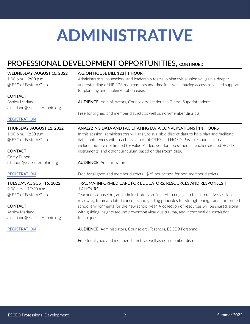# PROFESSIONAL DEVELOPMENT OPPORTUNITIES, CONTINUED

| WEDNESDAY, AUGUST 10, 2022<br>1:00 p.m. $-$ 2:00 p.m.<br>@ ESC of Eastern Ohio | A-Z ON HOUSE BILL 123   1 HOUR<br>Administrators, counselors, and leadership teams joining this session will gain a deeper<br>understanding of HB 123 requirements and timelines while having access tools and supports<br>for planning and implementation ease. |  |  |  |
|--------------------------------------------------------------------------------|------------------------------------------------------------------------------------------------------------------------------------------------------------------------------------------------------------------------------------------------------------------|--|--|--|
| <b>CONTACT</b>                                                                 |                                                                                                                                                                                                                                                                  |  |  |  |
| Ashley Mariano<br>a.mariano@esceasternohio.org                                 | <b>AUDIENCE:</b> Administrators, Counselors, Leadership Teams, Superintendents                                                                                                                                                                                   |  |  |  |
|                                                                                | Free for aligned and member districts as well as non-member districts                                                                                                                                                                                            |  |  |  |
| <b>REGISTRATION</b>                                                            |                                                                                                                                                                                                                                                                  |  |  |  |
| THURSDAY, AUGUST 11, 2022                                                      | ANALYZING DATA AND FACILITATING DATA CONVERSATIONS   1½ HOURS                                                                                                                                                                                                    |  |  |  |
| 1:00 p.m. - 2:30 p.m.                                                          | In this session, administrators will analyze available district data to help plan and facilitate                                                                                                                                                                 |  |  |  |
| @ ESC of Eastern Ohio                                                          | data conferences with teachers as part of OTES and HQSD. Possible sources of data<br>include (but are not limited to) Value-Added, vendor assessments, teacher-created HQSD                                                                                      |  |  |  |
| <b>CONTACT</b>                                                                 | instruments, and other curriculum-based or classroom data.                                                                                                                                                                                                       |  |  |  |
| Corey Bubon                                                                    |                                                                                                                                                                                                                                                                  |  |  |  |
| c.bubon@esceasternohio.org                                                     | <b>AUDIENCE: Administrators</b>                                                                                                                                                                                                                                  |  |  |  |
| <b>REGISTRATION</b>                                                            | Free for aligned and member districts   \$25 per person for non-member districts                                                                                                                                                                                 |  |  |  |
| TUESDAY, AUGUST 16, 2022                                                       | TRAUMA-INFORMED CARE FOR EDUCATORS: RESOURCES AND RESPONSES                                                                                                                                                                                                      |  |  |  |
| 9:00 a.m. - 10:30 a.m.                                                         | 1 <sup>1</sup> / <sub>2</sub> HOURS                                                                                                                                                                                                                              |  |  |  |
| @ ESC of Eastern Ohio                                                          | Teachers, counselors, and administrators are invited to engage in this interactive session<br>reviewing trauma-related concepts and guiding principles for strengthening trauma-informed                                                                         |  |  |  |
| <b>CONTACT</b>                                                                 | school environments for the new school year. A collection of resources will be shared, along                                                                                                                                                                     |  |  |  |
| Ashley Mariano                                                                 | with guiding insights around preventing vicarious trauma, and intentional de-escalation                                                                                                                                                                          |  |  |  |
| a.mariano@esceasternohio.org                                                   | techniques.                                                                                                                                                                                                                                                      |  |  |  |
| <b>REGISTRATION</b>                                                            | <b>AUDIENCE:</b> Administrators, Counselors, Teachers, ESCEO Personnel                                                                                                                                                                                           |  |  |  |
|                                                                                | Free for aligned and member districts as well as non-member districts                                                                                                                                                                                            |  |  |  |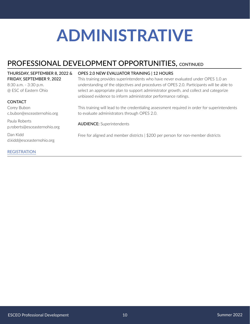# PROFESSIONAL DEVELOPMENT OPPORTUNITIES, CONTINUED

#### THURSDAY, SEPTEMBER 8, 2022 & FRIDAY, SEPTEMBER 9, 2022

8:30 a.m. - 3:30 p.m. @ ESC of Eastern Ohio

#### **CONTACT**

Corey Bubon c.bubon@esceasternohio.org

Paula Roberts p.roberts@esceasternohio.org

Dan Kidd d.kidd@esceasternohio.org

#### [REGISTRATION](https://www.esceasternohio.org/CalendarWeekView.aspx?eventID=359)

#### OPES 2.0 NEW EVALUATOR TRAINING | 12 HOURS

This training provides superintendents who have never evaluated under OPES 1.0 an understanding of the objectives and procedures of OPES 2.0. Participants will be able to select an appropriate plan to support administrator growth, and collect and categorize unbiased evidence to inform administrator performance ratings.

This training will lead to the credentialing assessment required in order for superintendents to evaluate administrators through OPES 2.0.

AUDIENCE: Superintendents

Free for aligned and member districts | \$200 per person for non-member districts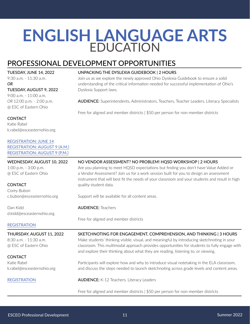# <span id="page-10-0"></span>**ENGLISH LANGUAGE ARTS** EDUCATION

# PROFESSIONAL DEVELOPMENT OPPORTUNITIES

TUESDAY, JUNE 14, 2022 9:30 a.m. - 11:30 a.m.

*OR* TUESDAY, AUGUST 9, 2022

9:00 a.m. - 11:00 a.m. *OR* 12:00 p.m. - 2:00 p.m. @ ESC of Eastern Ohio

### **CONTACT**

Katie Rabel k.rabel@esceasternohio.org

### [REGISTRATION: JUNE 14](https://www.esceasternohio.org/CalendarWeekView.aspx?eventID=446) [REGISTRATION: AUGUST 9 \(A.M.\)](https://www.esceasternohio.org/CalendarWeekView.aspx?eventID=447)

[REGISTRATION: AUGUST 9 \(P.M.\)](https://www.esceasternohio.org/CalendarWeekView.aspx?eventID=448)

#### WEDNESDAY, AUGUST 10, 2022 1:00 p.m. - 3:00 p.m. @ ESC of Eastern Ohio **CONTACT** Corey Bubon c.bubon@esceasternohio.org Dan Kidd d.kidd@esceasternohio.org [REGISTRATION](https://www.esceasternohio.org/CalendarWeekView.aspx?eventID=441) NO VENDOR ASSESSMENT? NO PROBLEM! HQSD WORKSHOP | 2 HOURS Are you planning to meet HQSD expectations but finding you don't have Value Added or a Vendor Assessment? Join us for a work session built for you to design an assessment instrument that will best fit the needs of your classroom and your students and result in high quality student data. Support will be available for all content areas. AUDIENCE: Teachers Free for aligned and member districts THURSDAY, AUGUST 11, 2022 8:30 a.m. - 11:30 a.m. @ ESC of Eastern Ohio **CONTACT** Katie Rabel k.rabel@esceasternohio.org [REGISTRATION](https://www.esceasternohio.org/CalendarWeekView.aspx?eventID=445) SKETCHNOTING FOR ENGAGEMENT, COMPREHENSION, AND THINKING | 3 HOURS Make students' thinking visible, visual, and meaningful by introducing sketchnoting in your classroom. This multimodal approach provides opportunities for students to fully engage with and explore their thinking about what they are reading, listening to, or viewing. Participants will explore how and why to introduce visual notetaking in the ELA classroom, and discuss the steps needed to launch sketchnoting across grade levels and content areas. AUDIENCE: K-12 Teachers, Literacy Leaders Free for aligned and member districts | \$50 per person for non-member districts

#### UNPACKING THE DYSLEXIA GUIDEBOOK | 2 HOURS

Join us as we explore the newly approved Ohio Dyslexia Guidebook to ensure a solid understanding of the critical information needed for successful implementation of Ohio's Dyslexia Support laws.

AUDIENCE: Superintendents, Administrators, Teachers, Teacher Leaders, Literacy Specialists

Free for aligned and member districts | \$50 per person for non-member districts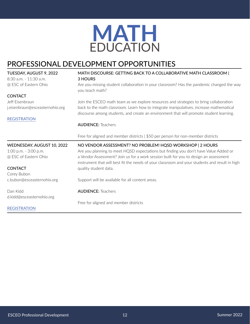

# <span id="page-11-0"></span>PROFESSIONAL DEVELOPMENT OPPORTUNITIES

| TUESDAY, AUGUST 9, 2022         | MATH DISCOURSE: GETTING BACK TO A COLLABORATIVE MATH CLASSROOM                                                                                                                     |  |  |
|---------------------------------|------------------------------------------------------------------------------------------------------------------------------------------------------------------------------------|--|--|
| 8:30 a.m. - 11:30 a.m.          | 3 HOURS                                                                                                                                                                            |  |  |
| @ ESC of Eastern Ohio           | Are you missing student collaboration in your classroom? Has the pandemic changed the way<br>you teach math?                                                                       |  |  |
| <b>CONTACT</b>                  |                                                                                                                                                                                    |  |  |
| Jeff Eisenbraun                 | Join the ESCEO math team as we explore resources and strategies to bring collaboration                                                                                             |  |  |
| j.eisenbraun@esceasternohio.org | back to the math classroom. Learn how to integrate manipulatives, increase mathematical<br>discourse among students, and create an environment that will promote student learning. |  |  |
| <b>REGISTRATION</b>             |                                                                                                                                                                                    |  |  |
|                                 | <b>AUDIENCE: Teachers</b>                                                                                                                                                          |  |  |
|                                 | Free for aligned and member districts   \$50 per person for non-member districts                                                                                                   |  |  |
|                                 |                                                                                                                                                                                    |  |  |
| WEDNESDAY, AUGUST 10, 2022      | NO VENDOR ASSESSMENT? NO PROBLEM! HQSD WORKSHOP   2 HOURS                                                                                                                          |  |  |
| 1:00 p.m. - 3:00 p.m.           | Are you planning to meet HQSD expectations but finding you don't have Value Added or                                                                                               |  |  |
| @ ESC of Eastern Ohio           | a Vendor Assessment? Join us for a work session built for you to design an assessment                                                                                              |  |  |
| <b>CONTACT</b>                  | instrument that will best fit the needs of your classroom and your students and result in high                                                                                     |  |  |
| Corey Bubon                     | quality student data.                                                                                                                                                              |  |  |
| c.bubon@esceasternohio.org      | Support will be available for all content areas.                                                                                                                                   |  |  |
| Dan Kidd                        | <b>AUDIENCE: Teachers</b>                                                                                                                                                          |  |  |
| d.kidd@esceasternohio.org       |                                                                                                                                                                                    |  |  |
|                                 | Free for aligned and member districts                                                                                                                                              |  |  |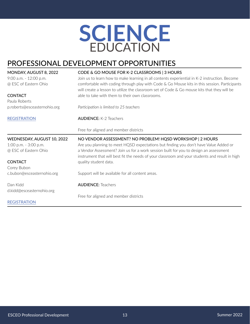# **SCIENCE** EDUCATION

# <span id="page-12-0"></span>PROFESSIONAL DEVELOPMENT OPPORTUNITIES

| MONDAY, AUGUST 8, 2022       | CODE & GO MOUSE FOR K-2 CLASSROOMS   3 HOURS                                                                                                                                                                                                                                                    |  |  |  |  |
|------------------------------|-------------------------------------------------------------------------------------------------------------------------------------------------------------------------------------------------------------------------------------------------------------------------------------------------|--|--|--|--|
| 9:00 a.m. - 12:00 p.m.       | Join us to learn how to make learning in all contents experiential in K-2 instruction. Become<br>comfortable with coding through play with Code & Go Mouse kits in this session. Participants<br>will create a lesson to utilize the classroom set of Code $\&$ Go mouse kits that they will be |  |  |  |  |
| @ ESC of Eastern Ohio        |                                                                                                                                                                                                                                                                                                 |  |  |  |  |
| <b>CONTACT</b>               | able to take with them to their own classrooms.                                                                                                                                                                                                                                                 |  |  |  |  |
| Paula Roberts                |                                                                                                                                                                                                                                                                                                 |  |  |  |  |
| p.roberts@esceasternohio.org | Participation is limited to 25 teachers                                                                                                                                                                                                                                                         |  |  |  |  |
| <b>REGISTRATION</b>          | <b>AUDIENCE: K-2 Teachers</b>                                                                                                                                                                                                                                                                   |  |  |  |  |
|                              | Free for aligned and member districts                                                                                                                                                                                                                                                           |  |  |  |  |
| WEDNESDAY, AUGUST 10, 2022   | NO VENDOR ASSESSMENT? NO PROBLEM! HQSD WORKSHOP   2 HOURS                                                                                                                                                                                                                                       |  |  |  |  |
| 1:00 p.m. - 3:00 p.m.        | Are you planning to meet HQSD expectations but finding you don't have Value Added or                                                                                                                                                                                                            |  |  |  |  |
| @ ESC of Eastern Ohio        | a Vendor Assessment? Join us for a work session built for you to design an assessment<br>instrument that will best fit the needs of your classroom and your students and result in high                                                                                                         |  |  |  |  |
| <b>CONTACT</b>               | quality student data.                                                                                                                                                                                                                                                                           |  |  |  |  |
| Corey Bubon                  |                                                                                                                                                                                                                                                                                                 |  |  |  |  |
| c.bubon@esceasternohio.org   | Support will be available for all content areas.                                                                                                                                                                                                                                                |  |  |  |  |
| Dan Kidd                     | <b>AUDIENCE: Teachers</b>                                                                                                                                                                                                                                                                       |  |  |  |  |
| d.kidd@esceasternohio.org    |                                                                                                                                                                                                                                                                                                 |  |  |  |  |
|                              | Free for aligned and member districts                                                                                                                                                                                                                                                           |  |  |  |  |
| <b>REGISTRATION</b>          |                                                                                                                                                                                                                                                                                                 |  |  |  |  |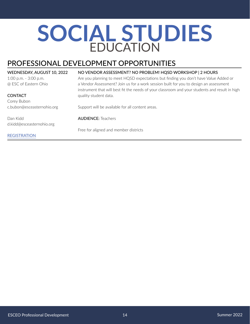# <span id="page-13-0"></span>**SOCIAL STUDIES**  EDUCATION

# PROFESSIONAL DEVELOPMENT OPPORTUNITIES

#### WEDNESDAY, AUGUST 10, 2022

1:00 p.m. - 3:00 p.m. @ ESC of Eastern Ohio

#### **CONTACT** Corey Bubon c.bubon@esceasternohio.org

Dan Kidd

d.kidd@esceasternohio.org

**[REGISTRATION](https://www.esceasternohio.org/CalendarWeekView.aspx?eventID=441)** 

#### NO VENDOR ASSESSMENT? NO PROBLEM! HQSD WORKSHOP | 2 HOURS

Are you planning to meet HQSD expectations but finding you don't have Value Added or a Vendor Assessment? Join us for a work session built for you to design an assessment instrument that will best fit the needs of your classroom and your students and result in high quality student data.

Support will be available for all content areas.

AUDIENCE: Teachers

Free for aligned and member districts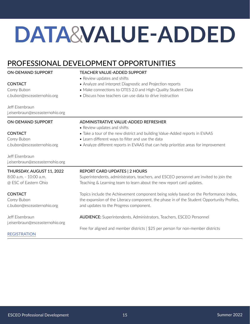# <span id="page-14-0"></span>**DATA** &**VALUE-ADDED**

TEACHER VALUE-ADDED SUPPORT

• Review updates and shifts

# PROFESSIONAL DEVELOPMENT OPPORTUNITIES

#### ON-DEMAND SUPPORT

**CONTACT** Corey Bubon c.bubon@esceasternohio.org

Jeff Eisenbraun j.eisenbraun@esceasternohio.org

#### ADMINISTRATIVE VALUE-ADDED REFRESHER

• Learn different ways to filter and use the data

• Analyze and interpret Diagnostic and Projection reports

• Discuss how teachers can use data to drive instruction

• Make connections to OTES 2.0 and High-Quality Student Data

• Review updates and shifts

#### **CONTACT**

**CONTACT** Corey Bubon

Corey Bubon c.bubon@esceasternohio.org

ON-DEMAND SUPPORT

Jeff Eisenbraun j.eisenbraun@esceasternohio.org

THURSDAY, AUGUST 11, 2022

8:00 a.m. - 10:00 a.m. @ ESC of Eastern Ohio

#### REPORT CARD UPDATES | 2 HOURS

Superintendents, administrators, teachers, and ESCEO personnel are invited to join the Teaching & Learning team to learn about the new report card updates.

Topics include the Achievement component being solely based on the Performance Index, the expansion of the Literacy component, the phase in of the Student Opportunity Profiles, and updates to the Progress component.

Jeff Eisenbraun j.eisenbraun@esceasternohio.org

c.bubon@esceasternohio.org

# AUDIENCE: Superintendents, Administrators, Teachers, ESCEO Personnel

• Take a tour of the new district and building Value-Added reports in EVAAS

• Analyze different reports in EVAAS that can help prioritize areas for improvement

Free for aligned and member districts | \$25 per person for non-member districts

### [REGISTRATION](https://www.esceasternohio.org/CalendarWeekView.aspx?eventID=360)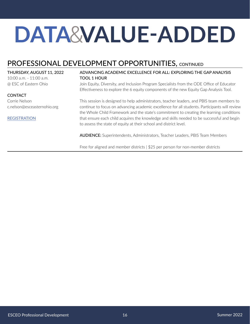# **DATA** &**VALUE-ADDED**

# PROFESSIONAL DEVELOPMENT OPPORTUNITIES, CONTINUED

#### THURSDAY, AUGUST 11, 2022

10:00 a.m. - 11:00 a.m. @ ESC of Eastern Ohio

#### **CONTACT**

Corrie Nelson c.nelson@esceasternohio.org

#### [REGISTRATION](https://www.esceasternohio.org/CalendarWeekView.aspx?eventID=440)

#### ADVANCING ACADEMIC EXCELLENCE FOR ALL: EXPLORING THE GAP ANALYSIS TOOL 1 HOUR

Join Equity, Diversity, and Inclusion Program Specialists from the ODE Office of Educator Effectiveness to explore the 6 equity components of the new Equity Gap Analysis Tool.

This session is designed to help administrators, teacher leaders, and PBIS team members to continue to focus on advancing academic excellence for all students. Participants will review the Whole Child Framework and the state's commitment to creating the learning conditions that ensure each child acquires the knowledge and skills needed to be successful and begin to assess the state of equity at their school and district level.

AUDIENCE: Superintendents, Administrators, Teacher Leaders, PBIS Team Members

Free for aligned and member districts | \$25 per person for non-member districts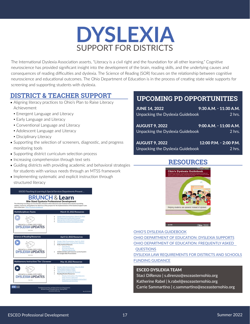# **DYSLEXIA** SUPPORT FOR DISTRICTS

<span id="page-16-0"></span>The International Dyslexia Association asserts, "Literacy is a civil right and the foundation for all other learning." Cognitive neuroscience has provided significant insight into the development of the brain, reading skills, and the underlying causes and consequences of reading difficulties and dyslexia. The Science of Reading (SOR) focuses on the relationship between cognitive neuroscience and educational outcomes. The Ohio Department of Education is in the process of creating state wide supports for screening and supporting students with dyslexia.

# **DISTRICT & TEACHER SUPPORT**

- Aligning literacy practices to Ohio's Plan to Raise Literacy Achievement
	- **Emergent Language and Literacy**
	- **Early Language and Literacy**
	- Conventional Language and Literacy
	- **Adolescent Language and Literacy**
	- Disciplinary Literacy
- Supporting the selection of screeners, diagnostic, and progress monitoring tools
- Supporting district curriculum selection process
- Increasing comprehension through text sets
- Guiding districts with providing academic and behavioral strategies for students with various needs through an MTSS framework
- Implementing systematic and explicit instruction through structured literacy



# **UPCOMING PD OPPORTUNITIES**

| <b>JUNE 14, 2022</b>             | 9:30 A.M. - 11:30 A.M.     |
|----------------------------------|----------------------------|
| Unpacking the Dyslexia Guidebook | $2$ hrs.                   |
| <b>AUGUST 9, 2022</b>            | 9:00 A.M. - 11:00 A.M.     |
| Unpacking the Dyslexia Guidebook | $2$ hrs.                   |
| <b>AUGUST 9, 2022</b>            | $12:00$ P.M. $- 2:00$ P.M. |
| Unpacking the Dyslexia Guidebook | $2$ hrs.                   |

### **RESOURCES**



#### [OHIO'S DYSLEXIA GUIDEBOOK](https://education.ohio.gov/getattachment/Topics/Learning-in-Ohio/Literacy/Dyslexia/OH_Dyslexia_Guidebook.pdf.aspx?lang=en-US)

[OHIO DEPARTMENT OF EDUCATION: DYSLEXIA SUPPORTS](https://education.ohio.gov/Topics/Learning-in-Ohio/Literacy/Dyslexia) [OHIO DEPARTMENT OF EDUCATION: FREQUENTLY ASKED](https://education.ohio.gov/Topics/Learning-in-Ohio/Literacy/Dyslexia/Dyslexia-Intervention-and-Support-Frequently-Asked)  **[QUESTIONS](https://education.ohio.gov/Topics/Learning-in-Ohio/Literacy/Dyslexia/Dyslexia-Intervention-and-Support-Frequently-Asked)** 

[DYSLEXIA LAW REQUIREMENTS FOR DISTRICTS AND SCHOOLS](https://education.ohio.gov/getattachment/Topics/Learning-in-Ohio/Literacy/Dyslexia/Dyslexia-Support-Laws-Timeline-of-Requirements.pdf.aspx?lang=en-US) [FUNDING GUIDANCE](https://education.ohio.gov/getattachment/Topics/Learning-in-Ohio/Literacy/Dyslexia/Federal-Funding-Guidance-for-Ohio-s-Dyslexia-Support-Laws-2.pdf.aspx?lang=en-US)

#### ESCEO DYSLEXIA TEAM

Staci DiRenzo | s.direnzo@esceasternohio.org Katherine Rabel | k.rabel@esceasternohio.org Carrie Sammartino | c.sammartino@esceasternohio.org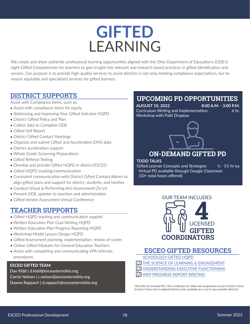# **GIFTED LEARNING**

<span id="page-17-0"></span>We create and share authentic professional learning opportunities aligned with the Ohio Department of Education's (ODE's) eight Gifted Competencies for teachers to gain insight into relevant and research-based practices in gifted identification and service. Our purpose is to provide high-quality services to assist districts in not only meeting compliance expectations, but to ensure equitable and specialized services for gifted learners.

# **DISTRICT SUPPORTS**

Assist with Compliance Items, such as:

- Assist with compliance items for equity
- Addressing and Improving Your Gifted Indicator HQPD
- District Gifted Policy and Plan
- Collect data to Complete ODE
- Gifted Self Report
- District Gifted Contact Meetings
- Organize and submit Gifted and Acceleration EMIS data
- District acceleration support
- Whole Grade Screening Preparations
- Gifted Referral Testing
- Develop and provide Gifted HQPD in district/ESCEO
- Gifted HQPD tracking/communication
- Consistent communication with District Gifted Contact/Admin to align gifted plans and support for district, students, and families
- Conduct Visual & Performing Arts Assessment (2x/yr)
- Present ODE updates to teachers and administration
- Gifted Vendor Assessment Virtual Conference

# **TEACHER SUPPORTS**

- Gifted HQPD tracking and communication support
- Written Education Plan Goal Writing HQPD
- Written Education Plan Progress Reporting HQPD
- Workshop Model Lesson Design HQPD
- Gifted Assessment planning, implementation, review of scores
- Online Gifted Modules for General Education Teachers
- Assist with completing and communicating VPA referrals, procedures

#### ESCEO GIFTED TEAM

Dan Kidd | d.kidd@esceasternohio.org Corrie Nelson | c.nelson@esceasternohio.org Dawna Rappach | d.rappach@esceasternohio.org

# **UPCOMING PD OPPORTUNITIES**

**AUGUST 10, 2022 8:00 A.M. - 3:00 P.M.** Curriculum Writing and Implementation: 6 hr. Workshop with Patti Drapeau

# **ON-DEMAND GIFTED PD**

#### **TODD TALKS**

Gifted Learner Concepts and Strategies  $\frac{1}{2}$  - 1½ hr ea. Virtual PD available through Google Classroom (10+ total hours offered)



# **ESCEO GIFTED RESOURCES**

[SCHOOLOGY GIFTED HQPD](https://docs.google.com/presentation/d/1GJsOekTavSDk7H9XvebcsHiruYeDsb0ineV8zaQAE88/edit?usp=sharing)

- $\overline{1}\overline{1}$  $\overline{1}\overline{1}$  $\overline{1}\overline{1}$  [THE SCIENCE OF LEARNING & ENGAGEMENT](https://drive.google.com/file/d/13Pe5qbVCYs-K5aRIoQZhvHjFrzMp1NkV/view)
- [UNDERSTANDING EXECUTIVE FUNCTIONING](https://drive.google.com/file/d/1WLu2BpU-RjTOIJWXu8mZAaOkofqppaMr/view) [1](https://drive.google.com/drive/folders/1S8mRuoGhMjQJ94OHgYvuBQ6fEf4P3iQi?usp=sharing)
- [WEP PROGRESS REPORT WRITING](https://drive.google.com/file/d/1VVh3piG0pE5sx4KcBiHHNagFf8QgVpv2/view?usp=sharing) [1](https://drive.google.com/drive/folders/1nunzubGqdqkYNkmNPJGu7PobZYnhHu53?usp=sharing)

*Click title for recorded PD. Click certificates for slides and assignments to earn Contact Hours (Contact Hours free to aligned districts only; available at a cost to non-member districts)*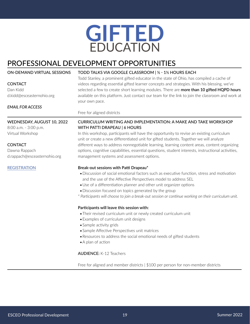# **GIFTED** EDUCATION

# <span id="page-18-0"></span>PROFESSIONAL DEVELOPMENT OPPORTUNITIES

| ON-DEMAND VIRTUAL SESSIONS                          | TODD TALKS VIA GOOGLE CLASSROOM   1/2 - 11/2 HOURS EACH<br>Todd Stanley, a prominent gifted educator in the state of Ohio, has compiled a cache of                                       |  |  |  |
|-----------------------------------------------------|------------------------------------------------------------------------------------------------------------------------------------------------------------------------------------------|--|--|--|
| <b>CONTACT</b>                                      | videos regarding essential gifted learner concepts and strategies. With his blessing, we've<br>selected a few to create short learning modules. There are more than 10 gifted HQPD hours |  |  |  |
| Dan Kidd                                            |                                                                                                                                                                                          |  |  |  |
| d.kidd@esceasternohio.org                           | available on this platform. Just contact our team for the link to join the classroom and work at                                                                                         |  |  |  |
|                                                     | your own pace.                                                                                                                                                                           |  |  |  |
| <b>EMAIL FOR ACCESS</b>                             |                                                                                                                                                                                          |  |  |  |
|                                                     | Free for aligned districts                                                                                                                                                               |  |  |  |
| WEDNESDAY, AUGUST 10, 2022<br>8:00 a.m. - 3:00 p.m. | CURRICULUM WRITING AND IMPLEMENTATION: A MAKE AND TAKE WORKSHOP<br>WITH PATTI DRAPEAU   6 HOURS                                                                                          |  |  |  |
| Virtual Workshop                                    | In this workshop, participants will have the opportunity to revise an existing curriculum<br>unit or create a new differentiated unit for gifted students. Together we will analyze      |  |  |  |
| CONTACT                                             | different ways to address nonnegotiable learning, learning content areas, content organizing                                                                                             |  |  |  |
| Dawna Rappach                                       | options, cognitive capabilities, essential questions, student interests, instructional activities,                                                                                       |  |  |  |
| d.rappach@esceasternohio.org                        | management systems and assessment options.                                                                                                                                               |  |  |  |
| <b>REGISTRATION</b>                                 | Break-out sessions with Patti Drapeau*                                                                                                                                                   |  |  |  |
|                                                     | · Discussion of social emotional factors such as executive function, stress and motivation<br>and the use of the Affective Perspectives model to address SEL                             |  |  |  |
|                                                     | • Use of a differentiation planner and other unit organizer options                                                                                                                      |  |  |  |
|                                                     | • Discussion focused on topics generated by the group                                                                                                                                    |  |  |  |
|                                                     | * Participants will choose to join a break-out session or continue working on their curriculum unit.                                                                                     |  |  |  |
|                                                     | Participants will leave this session with:                                                                                                                                               |  |  |  |
|                                                     | • Their revised curriculum unit or newly created curriculum unit                                                                                                                         |  |  |  |
|                                                     | • Examples of curriculum unit designs                                                                                                                                                    |  |  |  |

- •Sample activity grids
- •Sample Affective Perspectives unit matrices
- •Resources to address the social emotional needs of gifted students
- •A plan of action

AUDIENCE: K-12 Teachers

Free for aligned and member districts | \$100 per person for non-member districts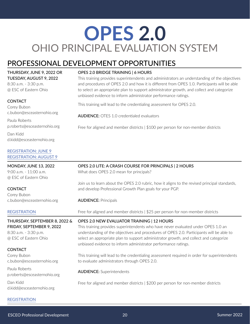# <span id="page-19-0"></span>**OPES 2.0** OHIO PRINCIPAL EVALUATION SYSTEM

# PROFESSIONAL DEVELOPMENT OPPORTUNITIES

THURSDAY, JUNE 9, 2022 OR TUESDAY, AUGUST 9, 2022

8:30 a.m. - 3:30 p.m. @ ESC of Eastern Ohio

#### **CONTACT**

Corey Bubon c.bubon@esceasternohio.org

Paula Roberts p.roberts@esceasternohio.org

Dan Kidd d.kidd@esceasternohio.org

#### [REGISTRATION: JUNE 9](https://www.esceasternohio.org/CalendarWeekView.aspx?eventID=294) [REGISTRATION: AUGUST 9](https://www.esceasternohio.org/CalendarWeekView.aspx?eventID=295)

MONDAY, JUNE 13, 2022 9:00 a.m. - 11:00 a.m. @ ESC of Eastern Ohio

**CONTACT** Corey Bubon c.bubon@esceasternohio.org

### **[REGISTRATION](https://www.esceasternohio.org/CalendarWeekView.aspx?eventID=416)**

THURSDAY, SEPTEMBER 8, 2022 & FRIDAY, SEPTEMBER 9, 2022

8:30 a.m. - 3:30 p.m. @ ESC of Eastern Ohio

### **CONTACT**

Corey Bubon c.bubon@esceasternohio.org

Paula Roberts p.roberts@esceasternohio.org

Dan Kidd d.kidd@esceasternohio.org

### OPES 2.0 BRIDGE TRAINING | 6 HOURS

This training provides superintendents and administrators an understanding of the objectives and procedures of OPES 2.0 and how it is different from OPES 1.0. Participants will be able to select an appropriate plan to support administrator growth, and collect and categorize unbiased evidence to inform administrator performance ratings.

This training will lead to the credentialing assessment for OPES 2.0.

AUDIENCE: OTES 1.0 credentialed evaluators

Free for aligned and member districts | \$100 per person for non-member districts

# OPES 2.0 LITE: A CRASH COURSE FOR PRINCIPALS | 2 HOURS

What does OPES 2.0 mean for principals?

Join us to learn about the OPES 2.0 rubric, how it aligns to the revised principal standards, and develop Professional Growth Plan goals for your PGP.

### AUDIENCE: Principals

Free for aligned and member districts | \$25 per person for non-member districts

### OPES 2.0 NEW EVALUATOR TRAINING | 12 HOURS

This training provides superintendents who have never evaluated under OPES 1.0 an understanding of the objectives and procedures of OPES 2.0. Participants will be able to select an appropriate plan to support administrator growth, and collect and categorize unbiased evidence to inform administrator performance ratings.

This training will lead to the credentialing assessment required in order for superintendents to evaluate administrators through OPES 2.0.

AUDIENCE: Superintendents

Free for aligned and member districts | \$200 per person for non-member districts

### **[REGISTRATION](https://www.esceasternohio.org/CalendarWeekView.aspx?eventID=359)**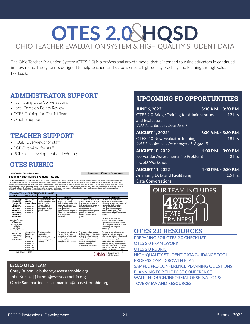# <span id="page-20-0"></span>**OTES 2.0 AHQSD** OHIO TEACHER EVALUATION SYSTEM & HIGH QUALITY STUDENT DATA

The Ohio Teacher Evaluation System (OTES 2.0) is a professional growth model that is intended to guide educators in continued improvement. The system is designed to help teachers and schools ensure high-quality teaching and learning through valuable feedback.

# **ADMINISTRATOR SUPPORT**

- Facilitating Data Conversations
- Local Decision Points Review
- OTES Training for District Teams
- OhioES Support

# **TEACHER SUPPORT**

- HQSD Overviews for staff
- PGP Overview for staff
- PGP Goal Development and Writing

# **[OTES RUBRIC](http://education.ohio.gov/getattachment/Topics/Teaching/Educator-Evaluation-System/Ohio-s-Teacher-Evaluation-System/OTES-2-0/Ohio-Teacher-Performance-Evaluation-Rubric-OTES-2-0.pdf.aspx?lang=en-US)**

#### **[Ohio Teacher Evaluation System Assessment of Teacher Performance](http://education.ohio.gov/getattachment/Topics/Teaching/Educator-Evaluation-System/Ohio-s-Teacher-Evaluation-System/OTES-2-0/Ohio-Teacher-Performance-Evaluation-Rubric-OTES-2-0.pdf.aspx?lang=en-US)**

**Teacher Performance Evaluation Rubric**

The Teacher Performance Evaluation Ruburic is to be cored holistially. This means evaluation will assess which level develops the best over the rest of the best overall experiment the teacher of the best of the rest of the

|                                                                                                                                                          |                                                                                                                              | Ineffective                                                                                                                                        | Developina                                                                                                                                                                                                                                       | <b>Skilled</b>                                                                                                                                                                                                                                                    | Accomplished                                                                                                                                                                                                                                                                                                                                      |
|----------------------------------------------------------------------------------------------------------------------------------------------------------|------------------------------------------------------------------------------------------------------------------------------|----------------------------------------------------------------------------------------------------------------------------------------------------|--------------------------------------------------------------------------------------------------------------------------------------------------------------------------------------------------------------------------------------------------|-------------------------------------------------------------------------------------------------------------------------------------------------------------------------------------------------------------------------------------------------------------------|---------------------------------------------------------------------------------------------------------------------------------------------------------------------------------------------------------------------------------------------------------------------------------------------------------------------------------------------------|
| <b>FOCUS FOR</b><br><b>LEARNING</b><br>(Standard 1:<br>Students.<br>Standard 2:<br>Content.<br>Standard 3:<br>Assessment.<br>Standard 4:<br>Instruction) | Use of High-<br>Quality<br><b>Student Data</b><br>Flement 1.1<br>Flement 1.2<br>Flement 1.3<br>Flement 3.3                   | The teacher does not<br>use high-quality student<br>data to develop<br>measurable and<br>developmentally<br>appropriate student<br>growth goal(s). | The teacher uses one<br>source of high-quality<br>student data and attempts<br>to analyze patterns to<br>develop measurable and<br>developmentally<br>appropriate student growth<br>goal(s). The analysis may<br>be incomplete or<br>inaccurate. | The teacher thoroughly and<br>correctly analyzes patterns<br>in at least two sources of<br>high-quality student data to<br>develop measurable and<br>developmentally<br>appropriate student growth<br>goal(s) and monitors<br>student progress toward<br>goal(s). | The teacher thoroughly and<br>correctly analyzes trends and<br>patterns in at least two sources of<br>high-quality student data to<br>develop measurable and<br>developmentally appropriate<br>student growth goal(s) and<br>monitors student progress toward<br>goal(s).<br>The teacher plans for the                                            |
| Possible Sources<br>of Evidence:<br>pre-conference.<br>artifacts.<br>portfolios.<br>analysis of student                                                  |                                                                                                                              |                                                                                                                                                    |                                                                                                                                                                                                                                                  |                                                                                                                                                                                                                                                                   | facilitation of developmentally<br>appropriate student data collection<br>and strategies to assist in student<br>goal setting and progress<br>monitoring.                                                                                                                                                                                         |
| data.<br>lesson plans.<br>student surveys.<br>common<br>assessments                                                                                      | Connections<br>to prior and<br>future<br>learning<br>Flement 1.2<br>Flement 2.1<br>Flement 2.2<br>Element 2.4<br>Element 2.5 | The teacher plans<br>lessons that<br>demonstrate no<br>connections to student<br>prior learning or future<br>leaming.                              | The teacher plans lessons<br>that attempt to make<br>connections with student<br>prior learning or future<br>learning. These<br>connections are not clear.                                                                                       | The teacher plans lessons<br>that intentionally make clear<br>and coherent connections.<br>with student prior learning<br>and future learning and<br>includes strategies that<br>communicate the<br>connections to students.                                      | The teacher plans lessons that<br>intentionally make clear and<br>coherent connections with student<br>prior and future learning and<br>includes strategies that<br>communicate the connections to<br>students - among lesson content,<br>other disciplines and/or real-world<br>experiences. The teacher plans<br>lessons that use the input and |

#### ESCEO OTES TEAM

Corey Bubon | c.bubon@esceasternohio.org

John Kuzma | j.kuzma@esceasternohio.org

Carrie Sammartino | c.sammartino@esceasternohio.org

# **UPCOMING PD OPPORTUNITIES**

| <b>JUNE 6, 2022*</b><br>OTES 2.0 Bridge Training for Administrators                      | $8:30$ A.M. $-3:30$ P.M.<br>$12$ hrs. |
|------------------------------------------------------------------------------------------|---------------------------------------|
| and Evaluators<br>*Additional Required Date: June 7                                      |                                       |
| <b>AUGUST 1, 2022*</b>                                                                   | 8:30 A.M. - 3:30 P.M.                 |
| <b>OTES 2.0 New Evaluator Training</b><br>*Additional Required Dates: August 3, August 5 | 18 hrs.                               |
| <b>AUGUST 10, 2022</b>                                                                   | $1:00$ P.M. $-3:00$ P.M.              |
| No Vendor Assessment? No Problem!<br><b>HQSD Workshop</b>                                | 2 hrs.                                |
| <b>AUGUST 11, 2022</b>                                                                   | 1:00 P.M. - 2:30 P.M.                 |
| Analyzing Data and Facilitating<br>Data Conversations                                    | $1.5$ hrs.                            |



### **OTES 2.0 RESOURCES**

[PREPARING FOR OTES 2.0 CHECKLIST](https://drive.google.com/file/d/1YfPUbTzsyjtnxmCLfCAFQl4b3gAE7kvE/view?usp=sharing) [OTES 2.0 FRAMEWORK](http://education.ohio.gov/getattachment/Topics/Teaching/Educator-Evaluation-System/Ohio-s-Teacher-Evaluation-System/OTES-2-0/Framework-OTES-2-0-Final-3-27-20.pdf.aspx?lang=en-US) [OTES 2.0 RUBRIC](http://education.ohio.gov/getattachment/Topics/Teaching/Educator-Evaluation-System/Ohio-s-Teacher-Evaluation-System/OTES-2-0/Ohio-Teacher-Performance-Evaluation-Rubric-OTES-2-0.pdf.aspx?lang=en-US) [HIGH-QUALITY STUDENT DATA GUIDANCE TOOL](https://docs.google.com/document/d/1Rr8nbYP1IBGv5oHds9KEgI5y7ieaRdIk3hDm6LARBXY/edit?usp=sharing) [PROFESSIONAL GROWTH PLAN](https://docs.google.com/document/d/1t9JvchLlUH37bV5rja_NGZjkq5tChhk7Hg5U7Q94akw/edit?usp=sharing) [SAMPLE PRE-CONFERENCE PLANNING QUESTIONS](http://education.ohio.gov/getattachment/Topics/Teaching/Educator-Evaluation-System/Ohio-s-Teacher-Evaluation-System/OTES-2-0/Pre-Conference-Planning-Questions.pdf.aspx?lang=en-US) [PLANNING FOR THE POST CONFERENCE](https://docs.google.com/document/d/1Hw6czohXa8Nu20edlX-1_rdKIx7cfTgp7xrGOMKPPhU/edit?usp=sharing) [WALKTHROUGH/INFORMAL OBSERVATIONS:](https://docs.google.com/document/d/1Hw6czohXa8Nu20edlX-1_rdKIx7cfTgp7xrGOMKPPhU/edit?usp=sharing)   [OVERVIEW AND RESOURCES](https://docs.google.com/document/d/1Hw6czohXa8Nu20edlX-1_rdKIx7cfTgp7xrGOMKPPhU/edit?usp=sharing)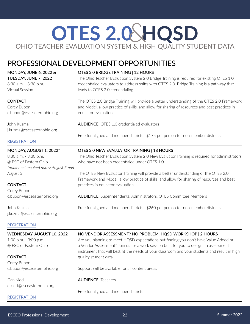# <span id="page-21-0"></span>**OTES 2.0 AHQSD** OHIO TEACHER EVALUATION SYSTEM & HIGH QUALITY STUDENT DATA

# PROFESSIONAL DEVELOPMENT OPPORTUNITIES

MONDAY, JUNE 6, 2022 & TUESDAY, JUNE 7, 2022 8:30 a.m. - 3:30 p.m. Virtual Session **CONTACT** Corey Bubon c.bubon@esceasternohio.org John Kuzma j.kuzma@esceasternohio.org [REGISTRATION](https://www.esceasternohio.org/CalendarWeekView.aspx?eventID=383) OTES 2.0 BRIDGE TRAINING | 12 HOURS The Ohio Teacher Evaluation System 2.0 Bridge Training is required for existing OTES 1.0 credentialed evaluators to address shifts with OTES 2.0. Bridge Training is a pathway that leads to OTES 2.0 credentialing. The OTES 2.0 Bridge Training will provide a better understanding of the OTES 2.0 Framework and Model, allow practice of skills, and allow for sharing of resources and best practices in educator evaluation. AUDIENCE: OTES 1.0 credentialed evaluators Free for aligned and member districts | \$175 per person for non-member districts MONDAY, AUGUST 1, 2022\* 8:30 a.m. - 3:30 p.m. @ ESC of Eastern Ohio *\*Additional required dates: August 3 and August 5* **CONTACT** Corey Bubon c.bubon@esceasternohio.org John Kuzma j.kuzma@esceasternohio.org [REGISTRATION](https://www.esceasternohio.org/CalendarWeekView.aspx?eventID=357) OTES 2.0 NEW EVALUATOR TRAINING | 18 HOURS The Ohio Teacher Evaluation System 2.0 New Evaluator Training is required for administrators who have not been credentialed under OTES 1.0. The OTES New Evaluator Training will provide a better understanding of the OTES 2.0 Framework and Model, allow practice of skills, and allow for sharing of resources and best practices in educator evaluation. AUDIENCE: Superintendents, Administrators, OTES Committee Members Free for aligned and member districts | \$260 per person for non-member districts WEDNESDAY, AUGUST 10, 2022 1:00 p.m. - 3:00 p.m. @ ESC of Eastern Ohio **CONTACT** Corey Bubon c.bubon@esceasternohio.org Dan Kidd d.kidd@esceasternohio.org NO VENDOR ASSESSMENT? NO PROBLEM! HQSD WORKSHOP | 2 HOURS Are you planning to meet HQSD expectations but finding you don't have Value Added or a Vendor Assessment? Join us for a work session built for you to design an assessment instrument that will best fit the needs of your classroom and your students and result in high quality student data. Support will be available for all content areas. AUDIENCE: Teachers

Free for aligned and member districts

### **[REGISTRATION](https://www.esceasternohio.org/CalendarWeekView.aspx?eventID=441)**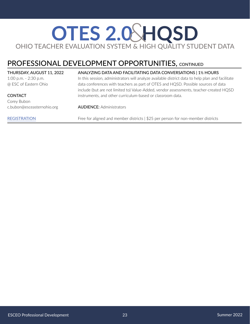# **OTES 2.0 AHQSD** OHIO TEACHER EVALUATION SYSTEM & HIGH QUALITY STUDENT DATA

# PROFESSIONAL DEVELOPMENT OPPORTUNITIES, CONTINUED

#### THURSDAY, AUGUST 11, 2022

1:00 p.m. - 2:30 p.m. @ ESC of Eastern Ohio

### **CONTACT**

Corey Bubon c.bubon@esceasternohio.org

#### [REGISTRATION](https://www.esceasternohio.org/CalendarWeekView.aspx?eventID=442)

#### ANALYZING DATA AND FACILITATING DATA CONVERSATIONS | 1½ HOURS

In this session, administrators will analyze available district data to help plan and facilitate data conferences with teachers as part of OTES and HQSD. Possible sources of data include (but are not limited to) Value-Added, vendor assessments, teacher-created HQSD instruments, and other curriculum-based or classroom data.

AUDIENCE: Administrators

Free for aligned and member districts | \$25 per person for non-member districts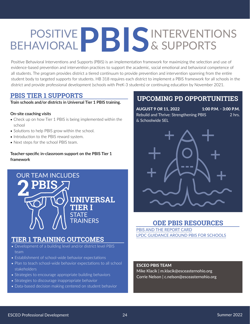# <span id="page-23-0"></span>PBISINTERVENTIONS & SUPPORTS POSITIVE BEHAVIORAL

Positive Behavioral Interventions and Supports (PBIS) is an implementation framework for maximizing the selection and use of evidence-based prevention and intervention practices to support the academic, social emotional and behavioral competence of all students. The program provides district a tiered continuum to provide prevention and intervention spanning from the entire student body to targeted supports for students. HB 318 requires each district to implement a PBIS framework for all schools in the district and provide professional development (schools with PreK-3 students) or continuing education by November 2021.

# **PBIS TIER 1 SUPPORTS**

**Train schools and/or districts in Universal Tier 1 PBIS training.**

#### **On-site coaching visits**

- Check up on how Tier 1 PBIS is being implemented within the school
- Solutions to help PBIS grow within the school.
- Introduction to the PBIS reward system.
- Next steps for the school PBIS team.

### **Teacher-specific in-classroom support on the PBIS Tier 1 framework**



# **TIER 1 TRAINING OUTCOMES**

- Development of a building level and/or district level PBIS team
- Establishment of school-wide behavior expectations
- Plan to teach school-wide behavior expectations to all school stakeholders
- Strategies to encourage appropriate building behaviors
- Strategies to discourage inappropriate behavior
- Data-based decision making centered on student behavior

# **UPCOMING PD OPPORTUNITIES**

AUGUST 9 *OR* 11, 2022 1:00 P.M. - 3:00 P.M. Rebuild and Thrive: Strengthening PBIS 2hrs. & Schoolwide SEL



# **ODE PBIS RESOURCES**

[PBIS AND THE REPORT CARD](https://drive.google.com/file/d/1a2OnJbzvQWiSJdgAD-U-FmARyTKorMsd/view?usp=sharing) [LPDC GUIDANCE AROUND PBIS FOR SCHOOLS](https://drive.google.com/file/d/1GFoHJKVbGyxGjh6QsghlyVIr8DEZoM13/view?usp=sharing)

### ESCEO PBIS TEAM

Mike Klacik | m.klacik@esceasternohio.org Corrie Nelson | c.nelson@esceasternohio.org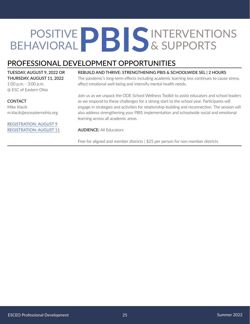# <span id="page-24-0"></span>PBISINTERVENTIONS & SUPPORTS POSITIVE BEHAVIORAL

# PROFESSIONAL DEVELOPMENT OPPORTUNITIES

### TUESDAY, AUGUST 9, 2022 OR THURSDAY, AUGUST 11, 2022

1:00 p.m. - 3:00 p.m. @ ESC of Eastern Ohio

### **CONTACT**

Mike Klacik m.klacik@esceasternohio.org

#### [REGISTRATION: AUGUST 9](https://www.esceasternohio.org/CalendarWeekView.aspx?eventID=449) [REGISTRATION: AUGUST 11](https://www.esceasternohio.org/CalendarWeekView.aspx?eventID=450)

#### REBUILD AND THRIVE: STRENGTHENING PBIS & SCHOOLWIDE SEL | 2 HOURS

The pandemic's long-term effects including academic learning loss continues to cause stress, affect emotional well-being and intensify mental health needs.

Join us as we unpack the ODE School Wellness Toolkit to assist educators and school leaders as we respond to these challenges for a strong start to the school year. Participants will engage in strategies and activities for relationship-building and reconnection. The session will also address strengthening your PBIS implementation and schoolwide social and emotional learning across all academic areas.

#### AUDIENCE: All Educators

Free for aligned and member districts | \$25 per person for non-member districts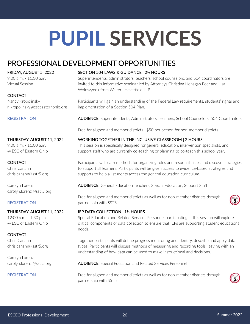# <span id="page-25-0"></span>**PUPIL SERVICES**

# PROFESSIONAL DEVELOPMENT OPPORTUNITIES

| FRIDAY, AUGUST 5, 2022           | SECTION 504 LAWS & GUIDANCE   2½ HOURS                                                                                                                                   |  |  |
|----------------------------------|--------------------------------------------------------------------------------------------------------------------------------------------------------------------------|--|--|
| 9:00 a.m. - 11:30 a.m.           | Superintendents, administrators, teachers, school counselors, and 504 coordinators are                                                                                   |  |  |
| Virtual Session                  | invited to this informative seminar led by Attorneys Christina Henagan Peer and Lisa                                                                                     |  |  |
| <b>CONTACT</b>                   | Woloszynek from Walter   Haverfield LLP.                                                                                                                                 |  |  |
| Nancy Kropolinsky                | Participants will gain an understanding of the Federal Law requirements, students' rights and                                                                            |  |  |
| n.kropolinsky@esceasternohio.org | implementation of a Section 504 Plan.                                                                                                                                    |  |  |
| <b>REGISTRATION</b>              | <b>AUDIENCE:</b> Superintendents, Administrators, Teachers, School Counselors, 504 Coordinators                                                                          |  |  |
|                                  | Free for aligned and member districts   \$50 per person for non-member districts                                                                                         |  |  |
| THURSDAY, AUGUST 11, 2022        | WORKING TOGETHER IN THE INCLUSIVE CLASSROOM   2 HOURS                                                                                                                    |  |  |
| 9:00 a.m. - 11:00 a.m.           | This session is specifically designed for general education, intervention specialists, and                                                                               |  |  |
| @ ESC of Eastern Ohio            | support staff who are currently co-teaching or planning to co-teach this school year.                                                                                    |  |  |
| <b>CONTACT</b>                   | Participants will learn methods for organizing roles and responsibilities and discover strategies                                                                        |  |  |
| Chris Canann                     | to support all learners. Participants will be given access to evidence-based strategies and                                                                              |  |  |
| chris.canann@sstr5.org           | supports to help all students access the general education curriculum.                                                                                                   |  |  |
| Carolyn Lorenzi                  | <b>AUDIENCE:</b> General Education Teachers, Special Education, Support Staff                                                                                            |  |  |
| carolyn.lorenzi@sstr5.org        |                                                                                                                                                                          |  |  |
| <b>REGISTRATION</b>              | Free for aligned and member districts as well as for non-member districts through<br>partnership with SST5                                                               |  |  |
| THURSDAY, AUGUST 11, 2022        | IEP DATA COLLECTION   1½ HOURS                                                                                                                                           |  |  |
| 12:00 p.m. - 1:30 p.m.           | Special Education and Related Services Personnel participating in this session will explore                                                                              |  |  |
| @ ESC of Eastern Ohio            | critical components of data collection to ensure that IEPs are supporting student educational<br>needs.                                                                  |  |  |
| <b>CONTACT</b>                   |                                                                                                                                                                          |  |  |
| Chris Canann                     | Together participants will define progress monitoring and identify, describe and apply data                                                                              |  |  |
| chris.canann@sstr5.org           | types. Participants will discuss methods of measuring and recording tools, leaving with an<br>understanding of how data can be used to make instructional and decisions. |  |  |
| Carolyn Lorenzi                  |                                                                                                                                                                          |  |  |
| carolyn.lorenzi@sstr5.org        | <b>AUDIENCE:</b> Special Education and Related Services Personnel                                                                                                        |  |  |
| <b>REGISTRATION</b>              | Free for aligned and member districts as well as for non-member districts through<br>partnership with SST5                                                               |  |  |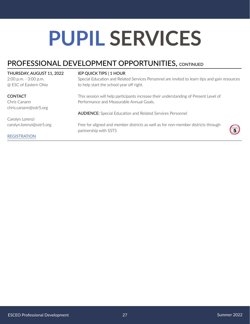# **PUPIL SERVICES**

# PROFESSIONAL DEVELOPMENT OPPORTUNITIES, CONTINUED

| THURSDAY, AUGUST 11, 2022 | <b>IEP QUICK TIPS   1 HOUR</b>                                                                             |                 |
|---------------------------|------------------------------------------------------------------------------------------------------------|-----------------|
| 2:00 p.m. - 3:00 p.m.     | Special Education and Related Services Personnel are invited to learn tips and gain resources              |                 |
| @ ESC of Eastern Ohio     | to help start the school year off right.                                                                   |                 |
| <b>CONTACT</b>            | This session will help participants increase their understanding of Present Level of                       |                 |
| Chris Canann              | Performance and Measurable Annual Goals.                                                                   |                 |
| chris.canann@sstr5.org    |                                                                                                            |                 |
|                           | <b>AUDIENCE:</b> Special Education and Related Services Personnel                                          |                 |
| Carolyn Lorenzi           |                                                                                                            |                 |
| carolyn.lorenzi@sstr5.org | Free for aligned and member districts as well as for non-member districts through<br>partnership with SST5 | $\widetilde{5}$ |
| <b>REGISTRATION</b>       |                                                                                                            |                 |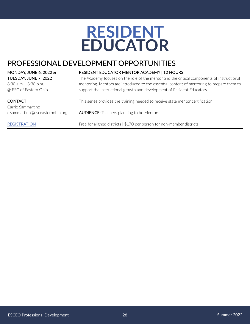# **RESIDENT EDUCATOR**

# <span id="page-27-0"></span>PROFESSIONAL DEVELOPMENT OPPORTUNITIES

MONDAY, JUNE 6, 2022 & TUESDAY, JUNE 7, 2022 8:30 a.m. - 3:30 p.m. @ ESC of Eastern Ohio

#### **CONTACT**

Carrie Sammartino c.sammartino@esceasternohio.org

#### **[REGISTRATION](https://www.esceasternohio.org/CalendarWeekView.aspx?eventID=369)**

#### RESIDENT EDUCATOR MENTOR ACADEMY | 12 HOURS

The Academy focuses on the role of the mentor and the critical components of instructional mentoring. Mentors are introduced to the essential content of mentoring to prepare them to support the instructional growth and development of Resident Educators.

This series provides the training needed to receive state mentor certification. AUDIENCE: Teachers planning to be Mentors Free for aligned districts | \$170 per person for non-member districts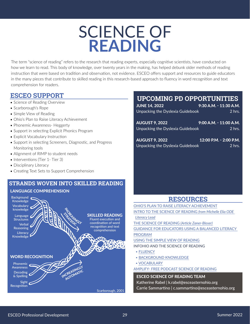# SCIENCE OF **READING**

<span id="page-28-0"></span>The term "science of reading" refers to the research that reading experts, especially cognitive scientists, have conducted on how we learn to read. This body of knowledge, over twenty years in the making, has helped debunk older methods of reading instruction that were based on tradition and observation, not evidence. ESCEO offers support and resources to guide educators in the many pieces that contribute to skilled reading in this research-based approach to fluency in word recognition and text comprehension for readers.

# **ESCEO SUPPORT**

- Science of Reading Overview
- Scarborough's Rope
- Simple View of Reading
- Ohio's Plan to Raise Literacy Achievement
- Phonemic Awareness- Heggerty
- Support in selecting Explicit Phonics Program
- Explicit Vocabulary Instruction
- Support in selecting Screeners, Diagnostic, and Progress Monitoring tools
- Alignment of RIMP to student needs
- Interventions (Tier 1- Tier 3)
- Disciplinary Literacy
- Creating Text Sets to Support Comprehension

# **STRANDS WOVEN INTO SKILLED READING**

### LANGUAGE COMPREHENSION



# **UPCOMING PD OPPORTUNITIES**

| <b>JUNE 14, 2022</b>             | 9:30 A.M. - 11:30 A.M.     |
|----------------------------------|----------------------------|
| Unpacking the Dyslexia Guidebook | $2$ hrs.                   |
|                                  |                            |
| <b>AUGUST 9, 2022</b>            | $9:00$ A.M. - $11:00$ A.M. |
| Unpacking the Dyslexia Guidebook | $2$ hrs.                   |
|                                  |                            |
| <b>AUGUST 9, 2022</b>            | 12:00 P.M. - 2:00 P.M.     |
| Unpacking the Dyslexia Guidebook | $2$ hrs.                   |

# **RESOURCES**

ESCEO SCIENCE OF READING TEAM [OHIO'S PLAN TO RAISE LITERACY ACHIEVEMENT](https://education.ohio.gov/getattachment/Topics/Learning-in-Ohio/Literacy/Ohios-Plan-to-Raise-Literacy-Achievement.pdf.aspx?lang=en-US) [INTRO TO THE SCIENCE OF READING](https://sstr5.zoom.us/rec/play/oIDU6Q7EVcAiKsgWxn4e1-UW-4In0-gjC8116Sgav3gma08AKZ3yqFwSs3FJ7K6pR8sy13LtKYmznWZ0.BAamC_TAWjFzLK-F?continueMode=true&_x_zm_rtaid=KLNQBVEuRMOV9ojsOt7igA.1619025100836.920c78749e927c7c5942442e4a767be9&_x_zm_rhtaid=350) *from Michelle Elia ODE [Literacy Lead](https://sstr5.zoom.us/rec/play/oIDU6Q7EVcAiKsgWxn4e1-UW-4In0-gjC8116Sgav3gma08AKZ3yqFwSs3FJ7K6pR8sy13LtKYmznWZ0.BAamC_TAWjFzLK-F?continueMode=true&_x_zm_rtaid=KLNQBVEuRMOV9ojsOt7igA.1619025100836.920c78749e927c7c5942442e4a767be9&_x_zm_rhtaid=350)* [THE SCIENCE OF READING](https://www.zaner-bloser.com/reading/superkids-reading-program/pdfs/Whitepaper_TheScienceofReading.pdf) *(Article Zaner-Bloser)* [GUIDANCE FOR EDUCATORS USING A BALANCED LITERACY](https://achievethecore.org/content/upload/Guidance%20for%20Educators%20Using%20a%20Balanced%20Literacy%20Program.pdf)  [PROGRAM](https://achievethecore.org/content/upload/Guidance%20for%20Educators%20Using%20a%20Balanced%20Literacy%20Program.pdf) [USING THE SIMPLE VIEW OF READING](https://www.sst13.org/blog/using-the-simple-view-of-reading-to-simplify-your-work/) INFOHIO AND THE SCIENCE OF READING • [FLUENCY](https://infohio.org/blog/item/extended-learning-plans-and-the-simple-view-of-reading-fluency) • [BACKGROUND KNOWLEDGE](https://infohio.org/blog/item/extended-learning-plans-and-the-simple-view-of-reading-background-knowledge) • [VOCABULARY](https://infohio.org/blog/item/extended-learning-plans-and-the-simple-view-of-reading-vocabulary) [AMPLIFY- FREE PODCAST SCIENCE OF READING](https://amplify.com/science-of-reading-the-podcast/)

Katherine Rabel | k.rabel@esceasternohio.org Carrie Sammartino | c.sammartino@esceasternohio.org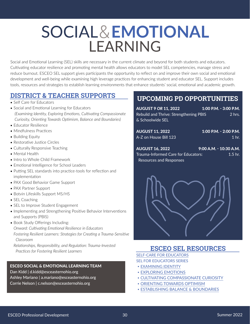# <span id="page-29-0"></span>SOCIAL&**EMOTIONAL LEARNING**

Social and Emotional Learning (SEL) skills are necessary in the current climate and beyond for both students and educators. Cultivating educator resilience and promoting mental health allows educators to model SEL competencies, manage stress and reduce burnout. ESCEO SEL support gives participants the opportunity to reflect on and improve their own social and emotional development and well-being while examining high leverage practices for enhancing student and educator SEL. Support includes tools, resources and strategies to establish learning environments that enhance students' social, emotional and academic growth.

# **DISTRICT & TEACHER SUPPORTS**

- Self Care for Educators
- Social and Emotional Learning for Educators  *(Examining Identity, Exploring Emotions, Cultivating Compassionate Curiosity, Orienting Towards Optimism, Balance and Boundaries)*
- Educator Resilience
- Mindfulness Practices
- Building Equity
- Restorative Justice Circles
- Culturally Responsive Teaching
- Mental Health
- Intro to Whole Child Framework
- Emotional Intelligence for School Leaders
- Putting SEL standards into practice-tools for reflection and implementation
- PAX Good Behavior Game Support
- PAX Partner Support
- Botvin Lifeskills Support MS/HS
- SEL Coaching
- SEL to Improve Student Engagement
- Implementing and Strengthening Positive Behavior Interventions and Supports (PBIS)
- Book Study Offerings Including: *Onward: Cultivating Emotional Resilience in Educators Fostering Resilient Learners: Strategies for Creating a Trauma-Sensitive Classroom*

*Relationships, Responsibility, and Regulation: Trauma-Invested Practices for Fostering Resilient Learners*

#### ESCEO SOCIAL & EMOTIONAL LEARNING TEAM

Dan Kidd | d.kidd@esceasternohio.org

- Ashley Mariano | a.mariano@esceasternohio.org
- Corrie Nelson | c.nelson@esceasternohio.org

# **UPCOMING PD OPPORTUNITIES**

| <b>AUGUST 9 OR 11, 2022</b><br><b>Rebuild and Thrive: Strengthening PBIS</b><br>& Schoolwide SEL | 1:00 P.M. - 3:00 P.M.<br>$2$ hrs.         |
|--------------------------------------------------------------------------------------------------|-------------------------------------------|
| <b>AUGUST 11, 2022</b><br>A-Z on House Bill 123                                                  | 1:00 P.M. - 2:00 P.M.<br>1 <sub>hr.</sub> |
| <b>AUGUST 16, 2022</b><br>Trauma-Informed Care for Educators:<br><b>Resources and Responses</b>  | 9:00 A.M. - 10:30 A.M.<br>$1.5$ hr.       |



# **ESCEO SEL RESOURCES**

[SELF-CARE FOR EDUCATORS](https://drive.google.com/file/d/1KVBNLoKJocZIakorDp2G4FbpZbX1TEk3/view) [SEL FOR EDUCATORS SERIES](https://drive.google.com/file/d/12rOtm7OEMoFpmi67qmSQCmxJEAfrCEg0/view)

- [EXAMINING IDENTITY](https://drive.google.com/file/d/12rOtm7OEMoFpmi67qmSQCmxJEAfrCEg0/view)
- [EXPLORING EMOTIONS](https://drive.google.com/file/d/1LZOoENKvTvC4l6fad1mQr3LYU3_KtCHI/view?usp=sharing)
- [CULTIVATING COMPASSIONATE CURIOSITY](https://drive.google.com/file/d/12rOtm7OEMoFpmi67qmSQCmxJEAfrCEg0/view?usp=sharing)
- [ORIENTING TOWARDS OPTIMISM](https://drive.google.com/file/d/1LZOoENKvTvC4l6fad1mQr3LYU3_KtCHI/view)
- [ESTABLISHING BALANCE & BOUNDARIES](https://drive.google.com/file/d/14leVuDSH_A2F4_A96bEEPmyRhVxo_LW9/view?usp=sharing)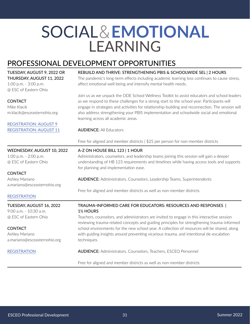# <span id="page-30-0"></span>SOCIAL&**EMOTIONAL** LEARNING

# PROFESSIONAL DEVELOPMENT OPPORTUNITIES

| TUESDAY, AUGUST 9, 2022 OR<br>THURSDAY, AUGUST 11, 2022<br>1:00 p.m. - 3:00 p.m.<br>@ ESC of Eastern Ohio | REBUILD AND THRIVE: STRENGTHENING PBIS & SCHOOLWIDE SEL   2 HOURS<br>The pandemic's long-term effects including academic learning loss continues to cause stress,<br>affect emotional well-being and intensify mental health needs.                                                                                                                                                                                             |
|-----------------------------------------------------------------------------------------------------------|---------------------------------------------------------------------------------------------------------------------------------------------------------------------------------------------------------------------------------------------------------------------------------------------------------------------------------------------------------------------------------------------------------------------------------|
| <b>CONTACT</b><br>Mike Klacik<br>m.klacik@esceasternohio.org                                              | Join us as we unpack the ODE School Wellness Toolkit to assist educators and school leaders<br>as we respond to these challenges for a strong start to the school year. Participants will<br>engage in strategies and activities for relationship-building and reconnection. The session will<br>also address strengthening your PBIS implementation and schoolwide social and emotional<br>learning across all academic areas. |
| <b>REGISTRATION: AUGUST 9</b><br><b>REGISTRATION: AUGUST 11</b>                                           | <b>AUDIENCE: All Educators</b>                                                                                                                                                                                                                                                                                                                                                                                                  |
|                                                                                                           | Free for aligned and member districts   \$25 per person for non-member districts                                                                                                                                                                                                                                                                                                                                                |
| WEDNESDAY, AUGUST 10, 2022                                                                                | A-Z ON HOUSE BILL 123   1 HOUR                                                                                                                                                                                                                                                                                                                                                                                                  |
| 1:00 p.m. - 2:00 p.m.                                                                                     | Administrators, counselors, and leadership teams joining this session will gain a deeper                                                                                                                                                                                                                                                                                                                                        |
| @ ESC of Eastern Ohio                                                                                     | understanding of HB 123 requirements and timelines while having access tools and supports<br>for planning and implementation ease.                                                                                                                                                                                                                                                                                              |
| <b>CONTACT</b>                                                                                            |                                                                                                                                                                                                                                                                                                                                                                                                                                 |
| Ashley Mariano<br>a.mariano@esceasternohio.org                                                            | <b>AUDIENCE:</b> Administrators, Counselors, Leadership Teams, Superintendents                                                                                                                                                                                                                                                                                                                                                  |
|                                                                                                           | Free for aligned and member districts as well as non-member districts                                                                                                                                                                                                                                                                                                                                                           |
| <b>REGISTRATION</b>                                                                                       |                                                                                                                                                                                                                                                                                                                                                                                                                                 |
| TUESDAY, AUGUST 16, 2022<br>9:00 a.m. - 10:30 a.m.                                                        | TRAUMA-INFORMED CARE FOR EDUCATORS: RESOURCES AND RESPONSES  <br>1 <sup>1</sup> / <sub>2</sub> HOURS                                                                                                                                                                                                                                                                                                                            |
| @ ESC of Eastern Ohio                                                                                     | Teachers, counselors, and administrators are invited to engage in this interactive session<br>reviewing trauma-related concepts and guiding principles for strengthening trauma-informed                                                                                                                                                                                                                                        |
| <b>CONTACT</b>                                                                                            | school environments for the new school year. A collection of resources will be shared, along                                                                                                                                                                                                                                                                                                                                    |
| Ashley Mariano<br>a.mariano@esceasternohio.org                                                            | with guiding insights around preventing vicarious trauma, and intentional de-escalation<br>techniques.                                                                                                                                                                                                                                                                                                                          |
| <b>REGISTRATION</b>                                                                                       | <b>AUDIENCE:</b> Administrators, Counselors, Teachers, ESCEO Personnel                                                                                                                                                                                                                                                                                                                                                          |
|                                                                                                           | Free for aligned and member districts as well as non-member districts                                                                                                                                                                                                                                                                                                                                                           |